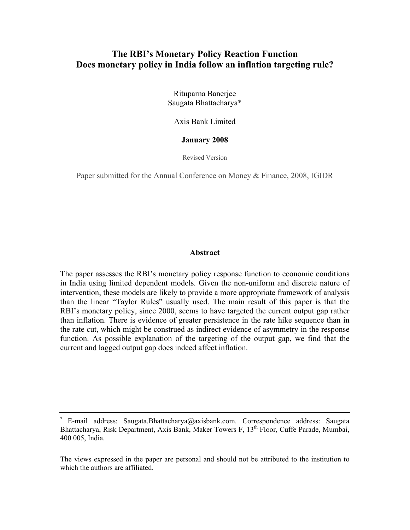# **The RBI's Monetary Policy Reaction Function Does monetary policy in India follow an inflation targeting rule?**

Rituparna Banerjee Saugata Bhattacharya\*

Axis Bank Limited

#### **January 2008**

Revised Version

Paper submitted for the Annual Conference on Money & Finance, 2008, IGIDR

#### **Abstract**

The paper assesses the RBI's monetary policy response function to economic conditions in India using limited dependent models. Given the non-uniform and discrete nature of intervention, these models are likely to provide a more appropriate framework of analysis than the linear "Taylor Rules" usually used. The main result of this paper is that the RBI's monetary policy, since 2000, seems to have targeted the current output gap rather than inflation. There is evidence of greater persistence in the rate hike sequence than in the rate cut, which might be construed as indirect evidence of asymmetry in the response function. As possible explanation of the targeting of the output gap, we find that the current and lagged output gap does indeed affect inflation.

E-mail address: Saugata.Bhattacharya@axisbank.com. Correspondence address: Saugata Bhattacharya, Risk Department, Axis Bank, Maker Towers F, 13<sup>th</sup> Floor, Cuffe Parade, Mumbai, 400 005, India.

The views expressed in the paper are personal and should not be attributed to the institution to which the authors are affiliated.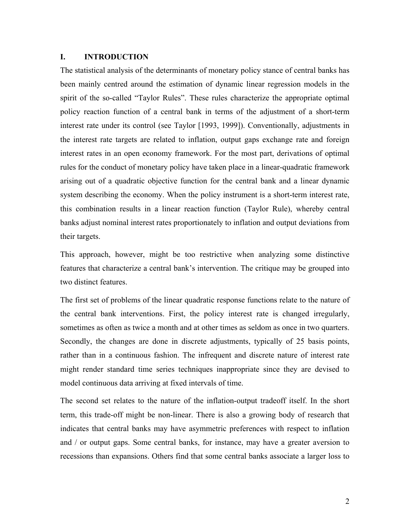# **I. INTRODUCTION**

The statistical analysis of the determinants of monetary policy stance of central banks has been mainly centred around the estimation of dynamic linear regression models in the spirit of the so-called "Taylor Rules". These rules characterize the appropriate optimal policy reaction function of a central bank in terms of the adjustment of a short-term interest rate under its control (see Taylor [1993, 1999]). Conventionally, adjustments in the interest rate targets are related to inflation, output gaps exchange rate and foreign interest rates in an open economy framework. For the most part, derivations of optimal rules for the conduct of monetary policy have taken place in a linear-quadratic framework arising out of a quadratic objective function for the central bank and a linear dynamic system describing the economy. When the policy instrument is a short-term interest rate, this combination results in a linear reaction function (Taylor Rule), whereby central banks adjust nominal interest rates proportionately to inflation and output deviations from their targets.

This approach, however, might be too restrictive when analyzing some distinctive features that characterize a central bank's intervention. The critique may be grouped into two distinct features.

The first set of problems of the linear quadratic response functions relate to the nature of the central bank interventions. First, the policy interest rate is changed irregularly, sometimes as often as twice a month and at other times as seldom as once in two quarters. Secondly, the changes are done in discrete adjustments, typically of 25 basis points, rather than in a continuous fashion. The infrequent and discrete nature of interest rate might render standard time series techniques inappropriate since they are devised to model continuous data arriving at fixed intervals of time.

The second set relates to the nature of the inflation-output tradeoff itself. In the short term, this trade-off might be non-linear. There is also a growing body of research that indicates that central banks may have asymmetric preferences with respect to inflation and / or output gaps. Some central banks, for instance, may have a greater aversion to recessions than expansions. Others find that some central banks associate a larger loss to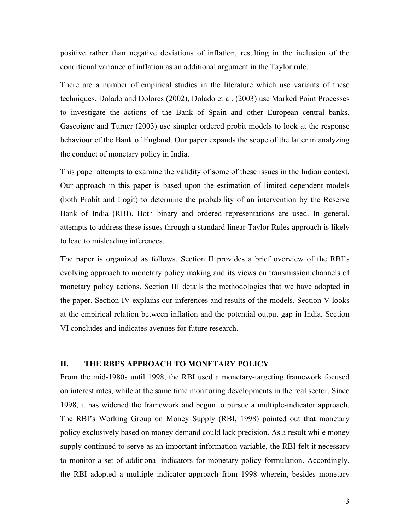positive rather than negative deviations of inflation, resulting in the inclusion of the conditional variance of inflation as an additional argument in the Taylor rule.

There are a number of empirical studies in the literature which use variants of these techniques. Dolado and Dolores (2002), Dolado et al. (2003) use Marked Point Processes to investigate the actions of the Bank of Spain and other European central banks. Gascoigne and Turner (2003) use simpler ordered probit models to look at the response behaviour of the Bank of England. Our paper expands the scope of the latter in analyzing the conduct of monetary policy in India.

This paper attempts to examine the validity of some of these issues in the Indian context. Our approach in this paper is based upon the estimation of limited dependent models (both Probit and Logit) to determine the probability of an intervention by the Reserve Bank of India (RBI). Both binary and ordered representations are used. In general, attempts to address these issues through a standard linear Taylor Rules approach is likely to lead to misleading inferences.

The paper is organized as follows. Section II provides a brief overview of the RBI's evolving approach to monetary policy making and its views on transmission channels of monetary policy actions. Section III details the methodologies that we have adopted in the paper. Section IV explains our inferences and results of the models. Section V looks at the empirical relation between inflation and the potential output gap in India. Section VI concludes and indicates avenues for future research.

### **II. THE RBI'S APPROACH TO MONETARY POLICY**

From the mid-1980s until 1998, the RBI used a monetary-targeting framework focused on interest rates, while at the same time monitoring developments in the real sector. Since 1998, it has widened the framework and begun to pursue a multiple-indicator approach. The RBI's Working Group on Money Supply (RBI, 1998) pointed out that monetary policy exclusively based on money demand could lack precision. As a result while money supply continued to serve as an important information variable, the RBI felt it necessary to monitor a set of additional indicators for monetary policy formulation. Accordingly, the RBI adopted a multiple indicator approach from 1998 wherein, besides monetary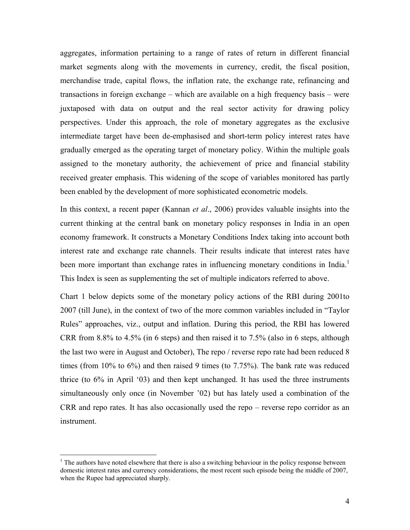aggregates, information pertaining to a range of rates of return in different financial market segments along with the movements in currency, credit, the fiscal position, merchandise trade, capital flows, the inflation rate, the exchange rate, refinancing and transactions in foreign exchange – which are available on a high frequency basis – were juxtaposed with data on output and the real sector activity for drawing policy perspectives. Under this approach, the role of monetary aggregates as the exclusive intermediate target have been de-emphasised and short-term policy interest rates have gradually emerged as the operating target of monetary policy. Within the multiple goals assigned to the monetary authority, the achievement of price and financial stability received greater emphasis. This widening of the scope of variables monitored has partly been enabled by the development of more sophisticated econometric models.

In this context, a recent paper (Kannan *et al*., 2006) provides valuable insights into the current thinking at the central bank on monetary policy responses in India in an open economy framework. It constructs a Monetary Conditions Index taking into account both interest rate and exchange rate channels. Their results indicate that interest rates have been more important than exchange rates in influencing monetary conditions in India.<sup>1</sup> This Index is seen as supplementing the set of multiple indicators referred to above.

Chart 1 below depicts some of the monetary policy actions of the RBI during 2001to 2007 (till June), in the context of two of the more common variables included in "Taylor Rules" approaches, viz., output and inflation. During this period, the RBI has lowered CRR from 8.8% to 4.5% (in 6 steps) and then raised it to 7.5% (also in 6 steps, although the last two were in August and October), The repo / reverse repo rate had been reduced 8 times (from 10% to 6%) and then raised 9 times (to 7.75%). The bank rate was reduced thrice (to 6% in April '03) and then kept unchanged. It has used the three instruments simultaneously only once (in November '02) but has lately used a combination of the CRR and repo rates. It has also occasionally used the repo – reverse repo corridor as an instrument.

1

 $<sup>1</sup>$  The authors have noted elsewhere that there is also a switching behaviour in the policy response between</sup> domestic interest rates and currency considerations, the most recent such episode being the middle of 2007, when the Rupee had appreciated sharply.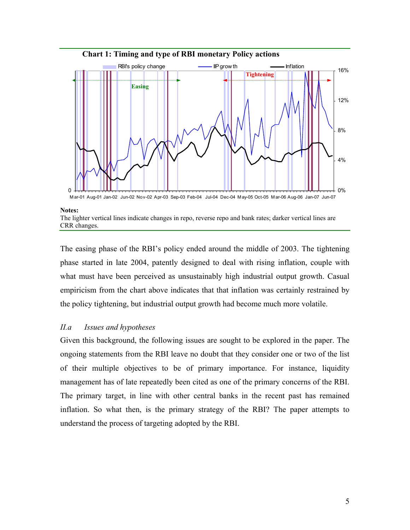

#### **Notes:**

The lighter vertical lines indicate changes in repo, reverse repo and bank rates; darker vertical lines are CRR changes.

The easing phase of the RBI's policy ended around the middle of 2003. The tightening phase started in late 2004, patently designed to deal with rising inflation, couple with what must have been perceived as unsustainably high industrial output growth. Casual empiricism from the chart above indicates that that inflation was certainly restrained by the policy tightening, but industrial output growth had become much more volatile.

# *II.a Issues and hypotheses*

Given this background, the following issues are sought to be explored in the paper. The ongoing statements from the RBI leave no doubt that they consider one or two of the list of their multiple objectives to be of primary importance. For instance, liquidity management has of late repeatedly been cited as one of the primary concerns of the RBI. The primary target, in line with other central banks in the recent past has remained inflation. So what then, is the primary strategy of the RBI? The paper attempts to understand the process of targeting adopted by the RBI.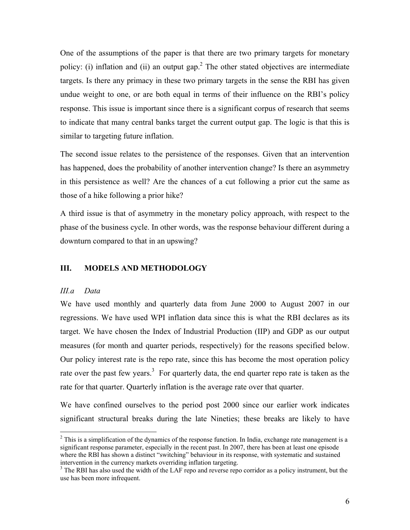One of the assumptions of the paper is that there are two primary targets for monetary policy: (i) inflation and (ii) an output gap.<sup>2</sup> The other stated objectives are intermediate targets. Is there any primacy in these two primary targets in the sense the RBI has given undue weight to one, or are both equal in terms of their influence on the RBI's policy response. This issue is important since there is a significant corpus of research that seems to indicate that many central banks target the current output gap. The logic is that this is similar to targeting future inflation.

The second issue relates to the persistence of the responses. Given that an intervention has happened, does the probability of another intervention change? Is there an asymmetry in this persistence as well? Are the chances of a cut following a prior cut the same as those of a hike following a prior hike?

A third issue is that of asymmetry in the monetary policy approach, with respect to the phase of the business cycle. In other words, was the response behaviour different during a downturn compared to that in an upswing?

#### **III. MODELS AND METHODOLOGY**

### *III.a Data*

1

We have used monthly and quarterly data from June 2000 to August 2007 in our regressions. We have used WPI inflation data since this is what the RBI declares as its target. We have chosen the Index of Industrial Production (IIP) and GDP as our output measures (for month and quarter periods, respectively) for the reasons specified below. Our policy interest rate is the repo rate, since this has become the most operation policy rate over the past few years.<sup>3</sup> For quarterly data, the end quarter repo rate is taken as the rate for that quarter. Quarterly inflation is the average rate over that quarter.

We have confined ourselves to the period post 2000 since our earlier work indicates significant structural breaks during the late Nineties; these breaks are likely to have

 $2$  This is a simplification of the dynamics of the response function. In India, exchange rate management is a significant response parameter, especially in the recent past. In 2007, there has been at least one episode where the RBI has shown a distinct "switching" behaviour in its response, with systematic and sustained intervention in the currency markets overriding inflation targeting.

<sup>&</sup>lt;sup>3</sup> The RBI has also used the width of the LAF repo and reverse repo corridor as a policy instrument, but the use has been more infrequent.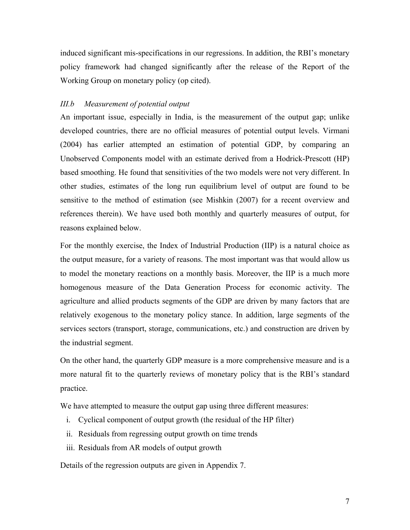induced significant mis-specifications in our regressions. In addition, the RBI's monetary policy framework had changed significantly after the release of the Report of the Working Group on monetary policy (op cited).

# *III.b Measurement of potential output*

An important issue, especially in India, is the measurement of the output gap; unlike developed countries, there are no official measures of potential output levels. Virmani (2004) has earlier attempted an estimation of potential GDP, by comparing an Unobserved Components model with an estimate derived from a Hodrick-Prescott (HP) based smoothing. He found that sensitivities of the two models were not very different. In other studies, estimates of the long run equilibrium level of output are found to be sensitive to the method of estimation (see Mishkin (2007) for a recent overview and references therein). We have used both monthly and quarterly measures of output, for reasons explained below.

For the monthly exercise, the Index of Industrial Production (IIP) is a natural choice as the output measure, for a variety of reasons. The most important was that would allow us to model the monetary reactions on a monthly basis. Moreover, the IIP is a much more homogenous measure of the Data Generation Process for economic activity. The agriculture and allied products segments of the GDP are driven by many factors that are relatively exogenous to the monetary policy stance. In addition, large segments of the services sectors (transport, storage, communications, etc.) and construction are driven by the industrial segment.

On the other hand, the quarterly GDP measure is a more comprehensive measure and is a more natural fit to the quarterly reviews of monetary policy that is the RBI's standard practice.

We have attempted to measure the output gap using three different measures:

- i. Cyclical component of output growth (the residual of the HP filter)
- ii. Residuals from regressing output growth on time trends
- iii. Residuals from AR models of output growth

Details of the regression outputs are given in Appendix 7.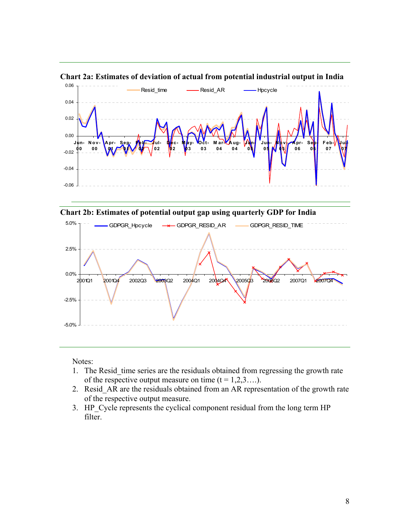

**Chart 2a: Estimates of deviation of actual from potential industrial output in India** 





Notes:

- 1. The Resid\_time series are the residuals obtained from regressing the growth rate of the respective output measure on time  $(t = 1,2,3...).$
- 2. Resid\_AR are the residuals obtained from an AR representation of the growth rate of the respective output measure.
- 3. HP\_Cycle represents the cyclical component residual from the long term HP filter.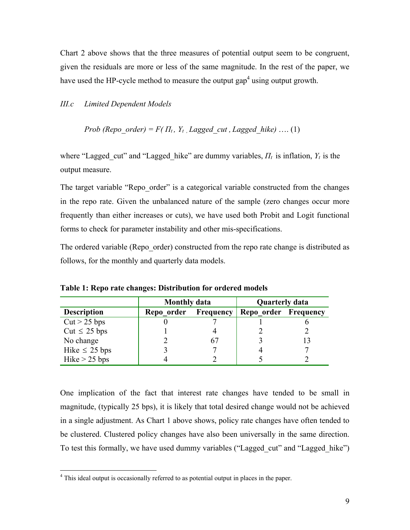Chart 2 above shows that the three measures of potential output seem to be congruent, given the residuals are more or less of the same magnitude. In the rest of the paper, we have used the HP-cycle method to measure the output gap<sup>4</sup> using output growth.

# *III.c Limited Dependent Models*

*Prob* (*Repo*<sub>o</sub>*order*) = 
$$
F(\Pi_t, Y_t, \text{Laged}_{cut}, \text{Laged}_{thike}) \dots (1)
$$

where "Lagged cut" and "Lagged hike" are dummy variables,  $\Pi_t$  is inflation,  $Y_t$  is the output measure.

The target variable "Repo\_order" is a categorical variable constructed from the changes in the repo rate. Given the unbalanced nature of the sample (zero changes occur more frequently than either increases or cuts), we have used both Probit and Logit functional forms to check for parameter instability and other mis-specifications.

The ordered variable (Repo\_order) constructed from the repo rate change is distributed as follows, for the monthly and quarterly data models.

|                    | <b>Monthly data</b> |           | <b>Quarterly data</b> |    |  |
|--------------------|---------------------|-----------|-----------------------|----|--|
| <b>Description</b> | Repo order          | Frequency | Repo order Frequency  |    |  |
| $Cut > 25$ bps     |                     |           |                       |    |  |
| Cut $\leq$ 25 bps  |                     |           |                       |    |  |
| No change          |                     | 67        |                       | 13 |  |
| Hike $\leq$ 25 bps |                     |           |                       |    |  |
| Hike $> 25$ bps    |                     |           |                       |    |  |

**Table 1: Repo rate changes: Distribution for ordered models** 

One implication of the fact that interest rate changes have tended to be small in magnitude, (typically 25 bps), it is likely that total desired change would not be achieved in a single adjustment. As Chart 1 above shows, policy rate changes have often tended to be clustered. Clustered policy changes have also been universally in the same direction. To test this formally, we have used dummy variables ("Lagged cut" and "Lagged hike")

 $\overline{a}$ 

<sup>&</sup>lt;sup>4</sup> This ideal output is occasionally referred to as potential output in places in the paper.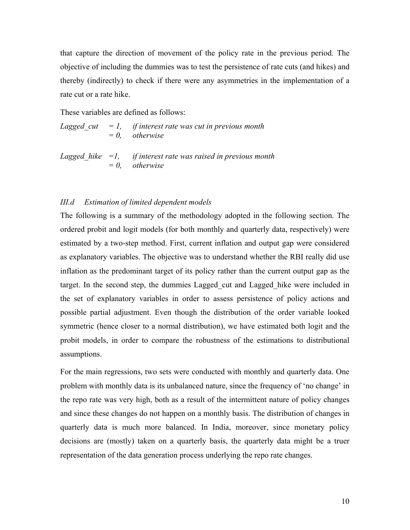that capture the direction of movement of the policy rate in the previous period. The objective of including the dummies was to test the persistence of rate cuts (and hikes) and thereby (indirectly) to check if there were any asymmetries in the implementation of a rate cut or a rate hike.

These variables are defined as follows:

Lagged cut  $=$  1, if interest rate was cut in previous month  *= 0, otherwise Lagged\_hike =1, if interest rate was raised in previous month = 0, otherwise* 

#### *III.d Estimation of limited dependent models*

The following is a summary of the methodology adopted in the following section. The ordered probit and logit models (for both monthly and quarterly data, respectively) were estimated by a two-step method. First, current inflation and output gap were considered as explanatory variables. The objective was to understand whether the RBI really did use inflation as the predominant target of its policy rather than the current output gap as the target. In the second step, the dummies Lagged\_cut and Lagged\_hike were included in the set of explanatory variables in order to assess persistence of policy actions and possible partial adjustment. Even though the distribution of the order variable looked symmetric (hence closer to a normal distribution), we have estimated both logit and the probit models, in order to compare the robustness of the estimations to distributional assumptions.

For the main regressions, two sets were conducted with monthly and quarterly data. One problem with monthly data is its unbalanced nature, since the frequency of 'no change' in the repo rate was very high, both as a result of the intermittent nature of policy changes and since these changes do not happen on a monthly basis. The distribution of changes in quarterly data is much more balanced. In India, moreover, since monetary policy decisions are (mostly) taken on a quarterly basis, the quarterly data might be a truer representation of the data generation process underlying the repo rate changes.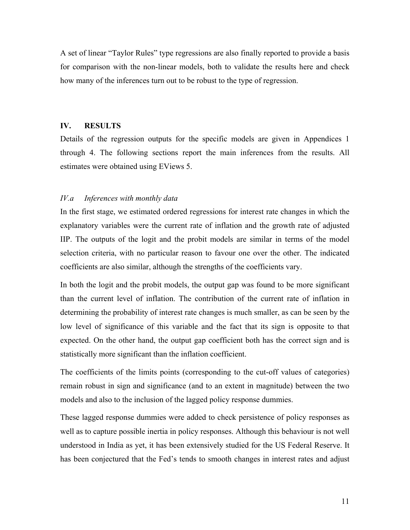A set of linear "Taylor Rules" type regressions are also finally reported to provide a basis for comparison with the non-linear models, both to validate the results here and check how many of the inferences turn out to be robust to the type of regression.

# **IV. RESULTS**

Details of the regression outputs for the specific models are given in Appendices 1 through 4. The following sections report the main inferences from the results. All estimates were obtained using EViews 5.

#### *IV.a Inferences with monthly data*

In the first stage, we estimated ordered regressions for interest rate changes in which the explanatory variables were the current rate of inflation and the growth rate of adjusted IIP. The outputs of the logit and the probit models are similar in terms of the model selection criteria, with no particular reason to favour one over the other. The indicated coefficients are also similar, although the strengths of the coefficients vary.

In both the logit and the probit models, the output gap was found to be more significant than the current level of inflation. The contribution of the current rate of inflation in determining the probability of interest rate changes is much smaller, as can be seen by the low level of significance of this variable and the fact that its sign is opposite to that expected. On the other hand, the output gap coefficient both has the correct sign and is statistically more significant than the inflation coefficient.

The coefficients of the limits points (corresponding to the cut-off values of categories) remain robust in sign and significance (and to an extent in magnitude) between the two models and also to the inclusion of the lagged policy response dummies.

These lagged response dummies were added to check persistence of policy responses as well as to capture possible inertia in policy responses. Although this behaviour is not well understood in India as yet, it has been extensively studied for the US Federal Reserve. It has been conjectured that the Fed's tends to smooth changes in interest rates and adjust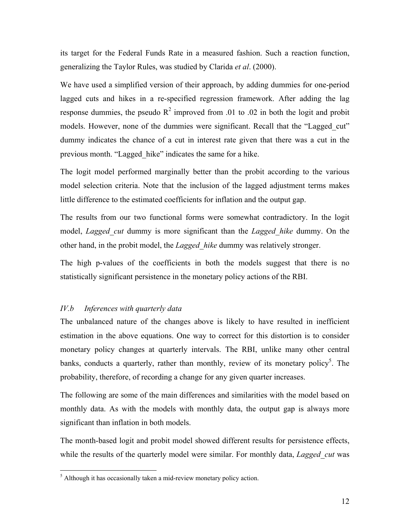its target for the Federal Funds Rate in a measured fashion. Such a reaction function, generalizing the Taylor Rules, was studied by Clarida *et al*. (2000).

We have used a simplified version of their approach, by adding dummies for one-period lagged cuts and hikes in a re-specified regression framework. After adding the lag response dummies, the pseudo  $R^2$  improved from .01 to .02 in both the logit and probit models. However, none of the dummies were significant. Recall that the "Lagged cut" dummy indicates the chance of a cut in interest rate given that there was a cut in the previous month. "Lagged\_hike" indicates the same for a hike.

The logit model performed marginally better than the probit according to the various model selection criteria. Note that the inclusion of the lagged adjustment terms makes little difference to the estimated coefficients for inflation and the output gap.

The results from our two functional forms were somewhat contradictory. In the logit model, *Lagged cut* dummy is more significant than the *Lagged hike* dummy. On the other hand, in the probit model, the *Lagged\_hike* dummy was relatively stronger.

The high p-values of the coefficients in both the models suggest that there is no statistically significant persistence in the monetary policy actions of the RBI.

#### *IV.b Inferences with quarterly data*

<u>.</u>

The unbalanced nature of the changes above is likely to have resulted in inefficient estimation in the above equations. One way to correct for this distortion is to consider monetary policy changes at quarterly intervals. The RBI, unlike many other central banks, conducts a quarterly, rather than monthly, review of its monetary policy<sup>5</sup>. The probability, therefore, of recording a change for any given quarter increases.

The following are some of the main differences and similarities with the model based on monthly data. As with the models with monthly data, the output gap is always more significant than inflation in both models.

The month-based logit and probit model showed different results for persistence effects, while the results of the quarterly model were similar. For monthly data, *Lagged cut* was

 $<sup>5</sup>$  Although it has occasionally taken a mid-review monetary policy action.</sup>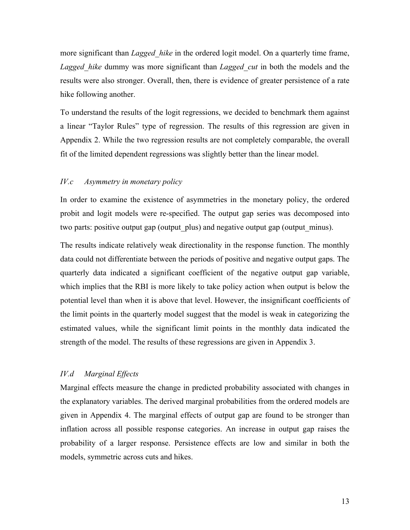more significant than *Lagged* hike in the ordered logit model. On a quarterly time frame, *Lagged\_hike* dummy was more significant than *Lagged\_cut* in both the models and the results were also stronger. Overall, then, there is evidence of greater persistence of a rate hike following another.

To understand the results of the logit regressions, we decided to benchmark them against a linear "Taylor Rules" type of regression. The results of this regression are given in Appendix 2. While the two regression results are not completely comparable, the overall fit of the limited dependent regressions was slightly better than the linear model.

# *IV.c Asymmetry in monetary policy*

In order to examine the existence of asymmetries in the monetary policy, the ordered probit and logit models were re-specified. The output gap series was decomposed into two parts: positive output gap (output plus) and negative output gap (output minus).

The results indicate relatively weak directionality in the response function. The monthly data could not differentiate between the periods of positive and negative output gaps. The quarterly data indicated a significant coefficient of the negative output gap variable, which implies that the RBI is more likely to take policy action when output is below the potential level than when it is above that level. However, the insignificant coefficients of the limit points in the quarterly model suggest that the model is weak in categorizing the estimated values, while the significant limit points in the monthly data indicated the strength of the model. The results of these regressions are given in Appendix 3.

#### *IV.d Marginal Effects*

Marginal effects measure the change in predicted probability associated with changes in the explanatory variables. The derived marginal probabilities from the ordered models are given in Appendix 4. The marginal effects of output gap are found to be stronger than inflation across all possible response categories. An increase in output gap raises the probability of a larger response. Persistence effects are low and similar in both the models, symmetric across cuts and hikes.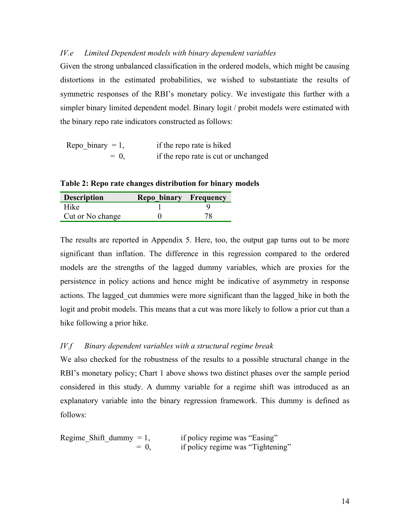# *IV.e Limited Dependent models with binary dependent variables*

Given the strong unbalanced classification in the ordered models, which might be causing distortions in the estimated probabilities, we wished to substantiate the results of symmetric responses of the RBI's monetary policy. We investigate this further with a simpler binary limited dependent model. Binary logit / probit models were estimated with the binary repo rate indicators constructed as follows:

| Repo binary $= 1$ , | if the repo rate is hiked           |
|---------------------|-------------------------------------|
| $= 0$               | if the reporate is cut or unchanged |

**Table 2: Repo rate changes distribution for binary models** 

| <b>Description</b> | Repo binary Frequency |    |
|--------------------|-----------------------|----|
| <b>Hike</b>        |                       |    |
| Cut or No change   |                       | 78 |

The results are reported in Appendix 5. Here, too, the output gap turns out to be more significant than inflation. The difference in this regression compared to the ordered models are the strengths of the lagged dummy variables, which are proxies for the persistence in policy actions and hence might be indicative of asymmetry in response actions. The lagged cut dummies were more significant than the lagged hike in both the logit and probit models. This means that a cut was more likely to follow a prior cut than a hike following a prior hike.

# *IV.f Binary dependent variables with a structural regime break*

We also checked for the robustness of the results to a possible structural change in the RBI's monetary policy; Chart 1 above shows two distinct phases over the sample period considered in this study. A dummy variable for a regime shift was introduced as an explanatory variable into the binary regression framework. This dummy is defined as follows:

Regime Shift dummy  $= 1$ , if policy regime was "Easing" = 0, if policy regime was "Tightening"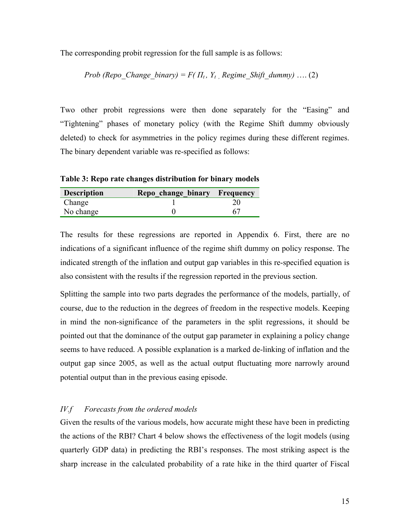The corresponding probit regression for the full sample is as follows:

*Prob (Repo\_Change\_binary) =*  $F(T_t, Y_t)$  *Regime\_Shift\_dummy) ....* (2)

Two other probit regressions were then done separately for the "Easing" and "Tightening" phases of monetary policy (with the Regime Shift dummy obviously deleted) to check for asymmetries in the policy regimes during these different regimes. The binary dependent variable was re-specified as follows:

**Table 3: Repo rate changes distribution for binary models** 

| <b>Description</b> | Repo_change_binary Frequency |    |
|--------------------|------------------------------|----|
| Change             |                              |    |
| No change          |                              | 67 |

The results for these regressions are reported in Appendix 6. First, there are no indications of a significant influence of the regime shift dummy on policy response. The indicated strength of the inflation and output gap variables in this re-specified equation is also consistent with the results if the regression reported in the previous section.

Splitting the sample into two parts degrades the performance of the models, partially, of course, due to the reduction in the degrees of freedom in the respective models. Keeping in mind the non-significance of the parameters in the split regressions, it should be pointed out that the dominance of the output gap parameter in explaining a policy change seems to have reduced. A possible explanation is a marked de-linking of inflation and the output gap since 2005, as well as the actual output fluctuating more narrowly around potential output than in the previous easing episode.

# *IV.f Forecasts from the ordered models*

Given the results of the various models, how accurate might these have been in predicting the actions of the RBI? Chart 4 below shows the effectiveness of the logit models (using quarterly GDP data) in predicting the RBI's responses. The most striking aspect is the sharp increase in the calculated probability of a rate hike in the third quarter of Fiscal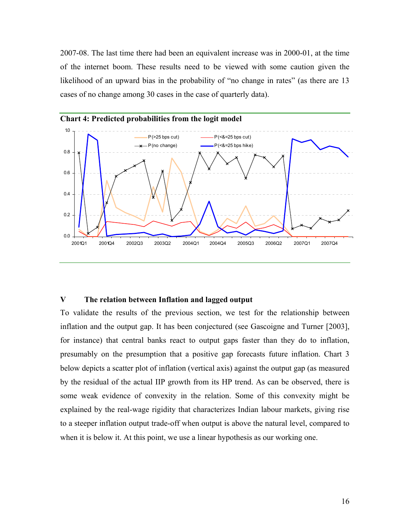2007-08. The last time there had been an equivalent increase was in 2000-01, at the time of the internet boom. These results need to be viewed with some caution given the likelihood of an upward bias in the probability of "no change in rates" (as there are 13 cases of no change among 30 cases in the case of quarterly data).



## **Chart 4: Predicted probabilities from the logit model**

## **V The relation between Inflation and lagged output**

To validate the results of the previous section, we test for the relationship between inflation and the output gap. It has been conjectured (see Gascoigne and Turner [2003], for instance) that central banks react to output gaps faster than they do to inflation, presumably on the presumption that a positive gap forecasts future inflation. Chart 3 below depicts a scatter plot of inflation (vertical axis) against the output gap (as measured by the residual of the actual IIP growth from its HP trend. As can be observed, there is some weak evidence of convexity in the relation. Some of this convexity might be explained by the real-wage rigidity that characterizes Indian labour markets, giving rise to a steeper inflation output trade-off when output is above the natural level, compared to when it is below it. At this point, we use a linear hypothesis as our working one.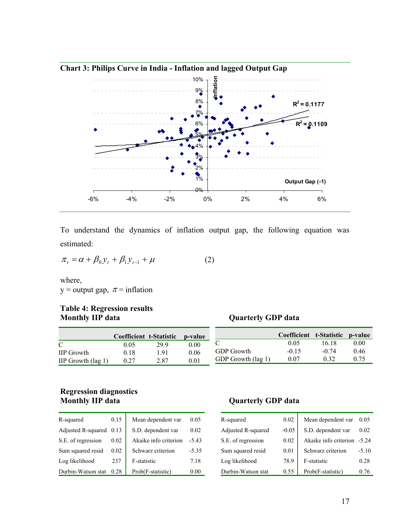

To understand the dynamics of inflation output gap, the following equation was estimated:

$$
\pi_t = \alpha + \beta_0 y_t + \beta_1 y_{t-1} + \mu \tag{2}
$$

where, y = output gap,  $\pi$  = inflation

# **Table 4: Regression results**

# **Quarterly GDP data Computer to Statistic**

|                              |      | <b>Coefficient t-Statistic</b> | <b>b</b> -value |                    | Coefficient t-Statistic p-value |         |      |
|------------------------------|------|--------------------------------|-----------------|--------------------|---------------------------------|---------|------|
|                              | 0.05 | 299                            | 0.00            |                    | 0.05                            | 16.18   | 0.00 |
| <b>IIP</b> Growth            | 0.18 | .91                            | 0.06            | <b>GDP</b> Growth  | $-0.15$                         | $-0.74$ | 0.46 |
| IIP Growth $(\text{lag } 1)$ | 0.27 | 2.87                           | 0.01            | GDP Growth (lag 1) | 0.07                            | 0.32    |      |

# **Regression diagnostics Monthly IIP data Quarterly GDP data**

| R-squared          | 0.15 | Mean dependent var    | 0.05     |
|--------------------|------|-----------------------|----------|
| Adjusted R-squared | 0.13 | S.D. dependent var    | 0.02     |
| S.E. of regression | 0.02 | Akaike info criterion | $-543$   |
| Sum squared resid  | 0.02 | Schwarz criterion     | $-5.35$  |
| Log likelihood     | 237  | F-statistic           | 7.18     |
| Durbin-Watson stat | 0.28 | Prob(F-statistic)     | $0.00\,$ |

| R-squared          | 0.02    | Mean dependent var    | 0.05    |
|--------------------|---------|-----------------------|---------|
| Adjusted R-squared | $-0.05$ | S.D. dependent var    | 0.02    |
| S.E. of regression | 0.02    | Akaike info criterion | $-5.24$ |
| Sum squared resid  | 0.01    | Schwarz criterion     | $-5.10$ |
| Log likelihood     | 78.9    | F-statistic           | 0.28    |
| Durbin-Watson stat | 0.55    | Prob(F-statistic)     | በ 76    |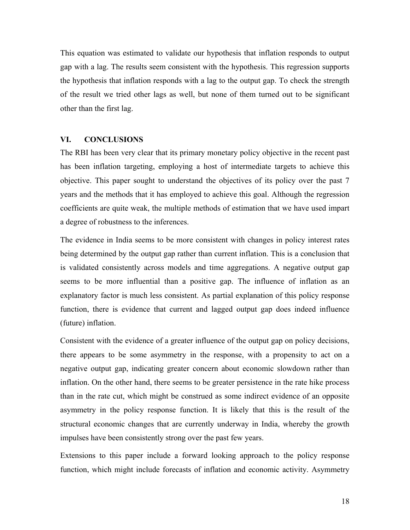This equation was estimated to validate our hypothesis that inflation responds to output gap with a lag. The results seem consistent with the hypothesis. This regression supports the hypothesis that inflation responds with a lag to the output gap. To check the strength of the result we tried other lags as well, but none of them turned out to be significant other than the first lag.

#### **VI. CONCLUSIONS**

The RBI has been very clear that its primary monetary policy objective in the recent past has been inflation targeting, employing a host of intermediate targets to achieve this objective. This paper sought to understand the objectives of its policy over the past 7 years and the methods that it has employed to achieve this goal. Although the regression coefficients are quite weak, the multiple methods of estimation that we have used impart a degree of robustness to the inferences.

The evidence in India seems to be more consistent with changes in policy interest rates being determined by the output gap rather than current inflation. This is a conclusion that is validated consistently across models and time aggregations. A negative output gap seems to be more influential than a positive gap. The influence of inflation as an explanatory factor is much less consistent. As partial explanation of this policy response function, there is evidence that current and lagged output gap does indeed influence (future) inflation.

Consistent with the evidence of a greater influence of the output gap on policy decisions, there appears to be some asymmetry in the response, with a propensity to act on a negative output gap, indicating greater concern about economic slowdown rather than inflation. On the other hand, there seems to be greater persistence in the rate hike process than in the rate cut, which might be construed as some indirect evidence of an opposite asymmetry in the policy response function. It is likely that this is the result of the structural economic changes that are currently underway in India, whereby the growth impulses have been consistently strong over the past few years.

Extensions to this paper include a forward looking approach to the policy response function, which might include forecasts of inflation and economic activity. Asymmetry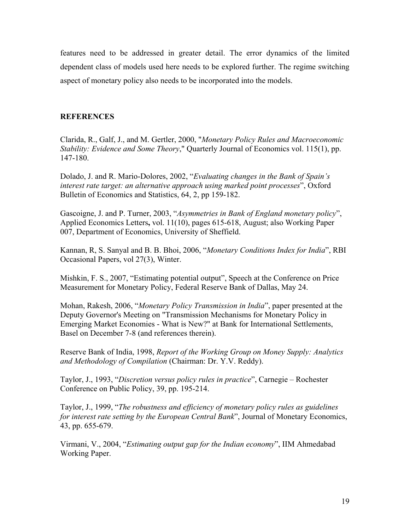features need to be addressed in greater detail. The error dynamics of the limited dependent class of models used here needs to be explored further. The regime switching aspect of monetary policy also needs to be incorporated into the models.

# **REFERENCES**

Clarida, R., Galf, J., and M. Gertler, 2000, "*Monetary Policy Rules and Macroeconomic Stability: Evidence and Some Theory*," Quarterly Journal of Economics vol. 115(1), pp. 147-180.

Dolado, J. and R. Mario-Dolores, 2002, "*Evaluating changes in the Bank of Spain's interest rate target: an alternative approach using marked point processes*", Oxford Bulletin of Economics and Statistics, 64, 2, pp 159-182.

Gascoigne, J. and P. Turner, 2003, "*Asymmetries in Bank of England monetary policy*", Applied Economics Letters**,** vol. 11(10), pages 615-618, August; also Working Paper 007, Department of Economics, University of Sheffield.

Kannan, R, S. Sanyal and B. B. Bhoi, 2006, "*Monetary Conditions Index for India*", RBI Occasional Papers, vol 27(3), Winter.

Mishkin, F. S., 2007, "Estimating potential output", Speech at the Conference on Price Measurement for Monetary Policy, Federal Reserve Bank of Dallas, May 24.

Mohan, Rakesh, 2006, "*Monetary Policy Transmission in India*", paper presented at the Deputy Governor's Meeting on "Transmission Mechanisms for Monetary Policy in Emerging Market Economies - What is New?" at Bank for International Settlements, Basel on December 7-8 (and references therein).

Reserve Bank of India, 1998, *Report of the Working Group on Money Supply: Analytics and Methodology of Compilation* (Chairman: Dr. Y.V. Reddy).

Taylor, J., 1993, "*Discretion versus policy rules in practice*", Carnegie – Rochester Conference on Public Policy, 39, pp. 195-214.

Taylor, J., 1999, "*The robustness and efficiency of monetary policy rules as guidelines for interest rate setting by the European Central Bank*", Journal of Monetary Economics, 43, pp. 655-679.

Virmani, V., 2004, "*Estimating output gap for the Indian economy*", IIM Ahmedabad Working Paper.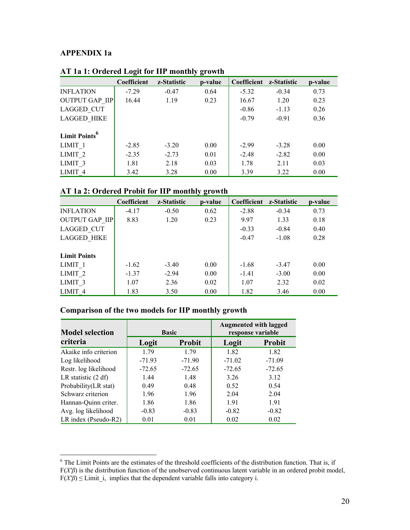# **APPENDIX 1a**

|                           | $\overline{\phantom{a}}$ |             | $\mathbf{v}$ $\mathbf{\sigma}$ |             |             |         |
|---------------------------|--------------------------|-------------|--------------------------------|-------------|-------------|---------|
|                           | Coefficient              | z-Statistic | p-value                        | Coefficient | z-Statistic | p-value |
| <b>INFLATION</b>          | $-7.29$                  | $-0.47$     | 0.64                           | $-5.32$     | $-0.34$     | 0.73    |
| <b>OUTPUT GAP IIP</b>     | 16.44                    | 1.19        | 0.23                           | 16.67       | 1.20        | 0.23    |
| LAGGED CUT                |                          |             |                                | $-0.86$     | $-1.13$     | 0.26    |
| <b>LAGGED HIKE</b>        |                          |             |                                | $-0.79$     | $-0.91$     | 0.36    |
|                           |                          |             |                                |             |             |         |
| Limit Points <sup>6</sup> |                          |             |                                |             |             |         |
| LIMIT <sub>1</sub>        | $-2.85$                  | $-3.20$     | 0.00                           | $-2.99$     | $-3.28$     | 0.00    |
| LIMIT <sub>2</sub>        | $-2.35$                  | $-2.73$     | 0.01                           | $-2.48$     | $-2.82$     | 0.00    |
| LIMIT <sub>3</sub>        | 1.81                     | 2.18        | 0.03                           | 1.78        | 2.11        | 0.03    |
| LIMIT <sub>4</sub>        | 3.42                     | 3.28        | 0.00                           | 3.39        | 3.22        | 0.00    |

# **AT 1a 1: Ordered Logit for IIP monthly growth**

# **AT 1a 2: Ordered Probit for IIP monthly growth**

|                       |             |             | ັ ⊂     |             |             |         |
|-----------------------|-------------|-------------|---------|-------------|-------------|---------|
|                       | Coefficient | z-Statistic | p-value | Coefficient | z-Statistic | p-value |
| <b>INFLATION</b>      | $-4.17$     | $-0.50$     | 0.62    | $-2.88$     | $-0.34$     | 0.73    |
| <b>OUTPUT GAP IIP</b> | 8.83        | 1.20        | 0.23    | 9.97        | 1.33        | 0.18    |
| LAGGED CUT            |             |             |         | $-0.33$     | $-0.84$     | 0.40    |
| <b>LAGGED HIKE</b>    |             |             |         | $-0.47$     | $-1.08$     | 0.28    |
|                       |             |             |         |             |             |         |
| <b>Limit Points</b>   |             |             |         |             |             |         |
| LIMIT <sub>1</sub>    | $-1.62$     | $-3.40$     | 0.00    | $-1.68$     | $-3.47$     | 0.00    |
| LIMIT <sub>2</sub>    | $-1.37$     | $-2.94$     | 0.00    | $-1.41$     | $-3.00$     | 0.00    |
| LIMIT <sub>3</sub>    | 1.07        | 2.36        | 0.02    | 1.07        | 2.32        | 0.02    |
| LIMIT <sub>4</sub>    | 1.83        | 3.50        | 0.00    | 1.82        | 3.46        | 0.00    |

# **Comparison of the two models for IIP monthly growth**

| <b>Model selection</b> |          | <b>Basic</b>  | <b>Augmented with lagged</b><br>response variable |               |  |
|------------------------|----------|---------------|---------------------------------------------------|---------------|--|
| criteria               | Logit    | <b>Probit</b> |                                                   | <b>Probit</b> |  |
| Akaike info criterion  | 1.79     | 179           | 1.82                                              | 1.82          |  |
| Log likelihood         | $-71.93$ | $-71.90$      | $-71.02$                                          | $-71.09$      |  |
| Restr. log likelihood  | $-72.65$ | $-72.65$      | $-72.65$                                          | $-72.65$      |  |
| LR statistic (2 df)    | 1.44     | 1.48          | 3.26                                              | 3.12          |  |
| Probability(LR stat)   | 0.49     | 0.48          | 0.52                                              | 0.54          |  |
| Schwarz criterion      | 1.96     | 1.96          | 2.04                                              | 2.04          |  |
| Hannan-Quinn criter.   | 1.86     | 1.86          | 1.91                                              | 1.91          |  |
| Avg. log likelihood    | $-0.83$  | $-0.83$       | $-0.82$                                           | $-0.82$       |  |
| LR index (Pseudo-R2)   | 0.01     | 0.01          | 0.02                                              | 0.02          |  |

<sup>&</sup>lt;sup>6</sup> The Limit Points are the estimates of the threshold coefficients of the distribution function. That is, if F(*X'β*) is the distribution function of the unobserved continuous latent variable in an ordered probit model,  $F(X' \beta) \leq$  Limit<sub>i</sub>, implies that the dependent variable falls into category i.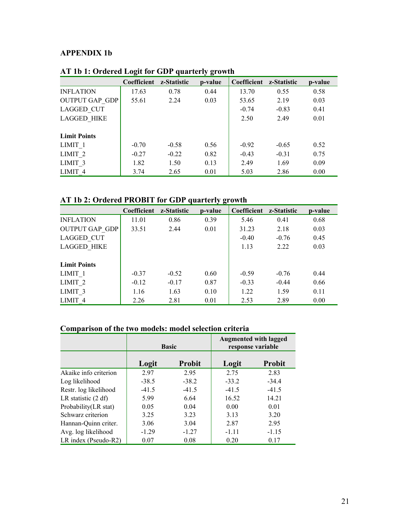# **APPENDIX 1b**

|                       | $\overline{\phantom{a}}$ |             | ັ⊂      |             |             |         |
|-----------------------|--------------------------|-------------|---------|-------------|-------------|---------|
|                       | Coefficient              | z-Statistic | p-value | Coefficient | z-Statistic | p-value |
| <b>INFLATION</b>      | 17.63                    | 0.78        | 0.44    | 13.70       | 0.55        | 0.58    |
| <b>OUTPUT GAP GDP</b> | 55.61                    | 2.24        | 0.03    | 53.65       | 2.19        | 0.03    |
| LAGGED CUT            |                          |             |         | $-0.74$     | $-0.83$     | 0.41    |
| <b>LAGGED HIKE</b>    |                          |             |         | 2.50        | 2.49        | 0.01    |
|                       |                          |             |         |             |             |         |
| <b>Limit Points</b>   |                          |             |         |             |             |         |
| LIMIT <sub>1</sub>    | $-0.70$                  | $-0.58$     | 0.56    | $-0.92$     | $-0.65$     | 0.52    |
| LIMIT <sub>2</sub>    | $-0.27$                  | $-0.22$     | 0.82    | $-0.43$     | $-0.31$     | 0.75    |
| LIMIT <sub>3</sub>    | 1.82                     | 1.50        | 0.13    | 2.49        | 1.69        | 0.09    |
| LIMIT <sub>4</sub>    | 3.74                     | 2.65        | 0.01    | 5.03        | 2.86        | 0.00    |

# **AT 1b 1: Ordered Logit for GDP quarterly growth**

# **AT 1b 2: Ordered PROBIT for GDP quarterly growth**

|                       | Coefficient | z-Statistic | p-value | Coefficient | z-Statistic | p-value |
|-----------------------|-------------|-------------|---------|-------------|-------------|---------|
| <b>INFLATION</b>      | 11.01       | 0.86        | 0.39    | 5.46        | 0.41        | 0.68    |
| <b>OUTPUT GAP GDP</b> | 33.51       | 2.44        | 0.01    | 31.23       | 2.18        | 0.03    |
| LAGGED CUT            |             |             |         | $-0.40$     | $-0.76$     | 0.45    |
| <b>LAGGED HIKE</b>    |             |             |         | 1.13        | 2.22        | 0.03    |
|                       |             |             |         |             |             |         |
| <b>Limit Points</b>   |             |             |         |             |             |         |
| LIMIT <sub>1</sub>    | $-0.37$     | $-0.52$     | 0.60    | $-0.59$     | $-0.76$     | 0.44    |
| LIMIT <sub>2</sub>    | $-0.12$     | $-0.17$     | 0.87    | $-0.33$     | $-0.44$     | 0.66    |
| LIMIT <sub>3</sub>    | 1.16        | 1.63        | 0.10    | 1.22        | 1.59        | 0.11    |
| LIMIT <sub>4</sub>    | 2.26        | 2.81        | 0.01    | 2.53        | 2.89        | 0.00    |

# **Comparison of the two models: model selection criteria**

|                       | <b>Basic</b> |               |         | <b>Augmented with lagged</b><br>response variable |
|-----------------------|--------------|---------------|---------|---------------------------------------------------|
|                       | Logit        | <b>Probit</b> | Logit   | <b>Probit</b>                                     |
| Akaike info criterion | 2.97         | 2.95          | 2.75    | 2.83                                              |
| Log likelihood        | $-38.5$      | $-38.2$       | $-33.2$ | $-34.4$                                           |
| Restr. log likelihood | $-41.5$      | $-41.5$       | $-41.5$ | $-41.5$                                           |
| LR statistic $(2 df)$ | 5.99         | 6.64          | 16.52   | 14.21                                             |
| Probability(LR stat)  | 0.05         | 0.04          | 0.00    | 0.01                                              |
| Schwarz criterion     | 3.25         | 3.23          | 3.13    | 3.20                                              |
| Hannan-Quinn criter.  | 3.06         | 3.04          | 2.87    | 2.95                                              |
| Avg. log likelihood   | $-1.29$      | $-1.27$       | $-1.11$ | $-1.15$                                           |
| LR index (Pseudo-R2)  | 0.07         | 0.08          | 0.20    | 0.17                                              |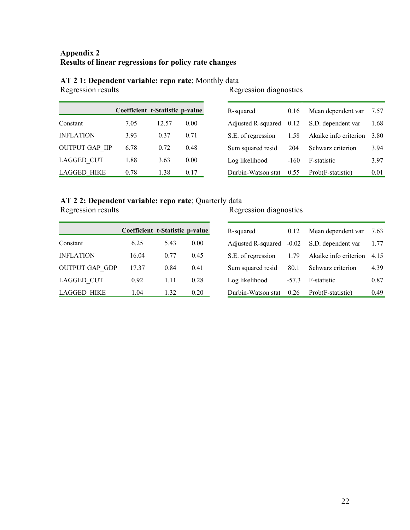# **Appendix 2 Results of linear regressions for policy rate changes**

# **AT 2 1: Dependent variable: repo rate**; Monthly data Regression results Reg

|                       | Coefficient t-Statistic p-value |       |      |
|-----------------------|---------------------------------|-------|------|
| Constant              | 7.05                            | 12.57 | 0.00 |
| <b>INFLATION</b>      | 3.93                            | 0.37  | 0.71 |
| <b>OUTPUT GAP IIP</b> | 6.78                            | 0.72  | 0.48 |
| <b>LAGGED CUT</b>     | 1.88                            | 3.63  | 0.00 |
| LAGGED HIKE           | 0.78                            | 1.38  | 0.17 |

# Regression diagnostics

| R-squared          | 0.16   | Mean dependent var    | 7.57 |
|--------------------|--------|-----------------------|------|
| Adjusted R-squared | 0.12   | S.D. dependent var    | 1.68 |
| S.E. of regression | 1.58   | Akaike info criterion | 3.80 |
| Sum squared resid  | 204    | Schwarz criterion     | 3.94 |
| Log likelihood     | $-160$ | F-statistic           | 3.97 |
| Durbin-Watson stat | 0.55   | Prob(F-statistic)     | 001  |

# **AT 2 2: Dependent variable: repo rate**; Quarterly data

|                       | Coefficient t-Statistic p-value |      |      |
|-----------------------|---------------------------------|------|------|
| Constant              | 6.25                            | 543  | 0.00 |
| <b>INFLATION</b>      | 16.04                           | 0.77 | 0.45 |
| <b>OUTPUT GAP GDP</b> | 17.37                           | 0.84 | 0.41 |
| <b>LAGGED CUT</b>     | 0.92                            | 1.11 | 0.28 |
| <b>LAGGED HIKE</b>    | 1.04                            | 1.32 | 0.20 |

# Regression diagnostics

| R-squared          | 0.12    | Mean dependent var    | 7.63  |
|--------------------|---------|-----------------------|-------|
| Adjusted R-squared | $-0.02$ | S.D. dependent var    | 1.77  |
| S.E. of regression | 1.79    | Akaike info criterion | 4 15  |
| Sum squared resid  | 80.1    | Schwarz criterion     | 4.39  |
| Log likelihood     | $-57.3$ | F-statistic           | 0.87  |
| Durbin-Watson stat | 0.26    | Prob(F-statistic)     | () 49 |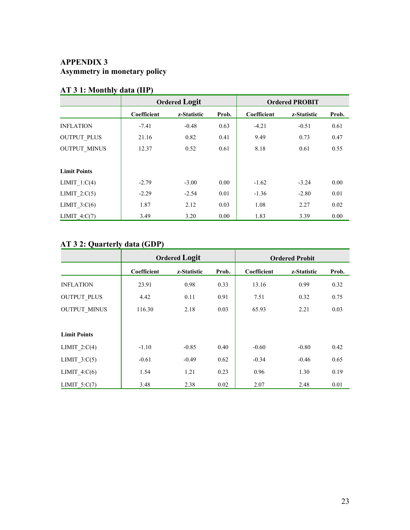# **APPENDIX 3 Asymmetry in monetary policy**

|                     | <b>Ordered Logit</b> |             |       |             | <b>Ordered PROBIT</b> |       |
|---------------------|----------------------|-------------|-------|-------------|-----------------------|-------|
|                     | Coefficient          | z-Statistic | Prob. | Coefficient | z-Statistic           | Prob. |
| <b>INFLATION</b>    | $-7.41$              | $-0.48$     | 0.63  | $-4.21$     | $-0.51$               | 0.61  |
| <b>OUTPUT PLUS</b>  | 21.16                | 0.82        | 0.41  | 9.49        | 0.73                  | 0.47  |
| <b>OUTPUT MINUS</b> | 12.37                | 0.52        | 0.61  | 8.18        | 0.61                  | 0.55  |
| <b>Limit Points</b> |                      |             |       |             |                       |       |
| LIMIT $1:C(4)$      | $-2.79$              | $-3.00$     | 0.00  | $-1.62$     | $-3.24$               | 0.00  |
| LIMIT $2:C(5)$      | $-2.29$              | $-2.54$     | 0.01  | $-1.36$     | $-2.80$               | 0.01  |
| LIMIT $3:C(6)$      | 1.87                 | 2.12        | 0.03  | 1.08        | 2.27                  | 0.02  |
| LIMIT $4:C(7)$      | 3.49                 | 3.20        | 0.00  | 1.83        | 3.39                  | 0.00  |

# **AT 3 1: Monthly data (IIP)**

# **AT 3 2: Quarterly data (GDP)**

|                     | <b>Ordered Logit</b> |             |       |             | <b>Ordered Probit</b> |       |
|---------------------|----------------------|-------------|-------|-------------|-----------------------|-------|
|                     | Coefficient          | z-Statistic | Prob. | Coefficient | z-Statistic           | Prob. |
| <b>INFLATION</b>    | 23.91                | 0.98        | 0.33  | 13.16       | 0.99                  | 0.32  |
| <b>OUTPUT PLUS</b>  | 4.42                 | 0.11        | 0.91  | 7.51        | 0.32                  | 0.75  |
| <b>OUTPUT MINUS</b> | 116.30               | 2.18        | 0.03  | 65.93       | 2.21                  | 0.03  |
|                     |                      |             |       |             |                       |       |
| <b>Limit Points</b> |                      |             |       |             |                       |       |
| LIMIT $2:C(4)$      | $-1.10$              | $-0.85$     | 0.40  | $-0.60$     | $-0.80$               | 0.42  |
| LIMIT $3:C(5)$      | $-0.61$              | $-0.49$     | 0.62  | $-0.34$     | $-0.46$               | 0.65  |
| LIMIT $4:C(6)$      | 1.54                 | 1.21        | 0.23  | 0.96        | 1.30                  | 0.19  |
| LIMIT $5:C(7)$      | 3.48                 | 2.38        | 0.02  | 2.07        | 2.48                  | 0.01  |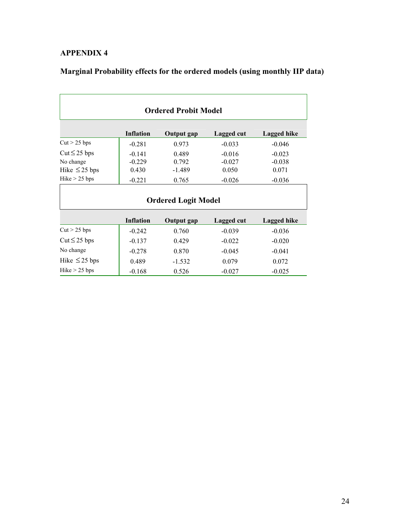# **APPENDIX 4**

# **Marginal Probability effects for the ordered models (using monthly IIP data)**

| <b>Ordered Probit Model</b>                          |                               |                                     |                               |                               |  |
|------------------------------------------------------|-------------------------------|-------------------------------------|-------------------------------|-------------------------------|--|
|                                                      | <b>Inflation</b>              | <b>Output</b> gap                   | Lagged cut                    | Lagged hike                   |  |
| $Cut > 25$ bps                                       | $-0.281$                      | 0.973                               | $-0.033$                      | $-0.046$                      |  |
| $Cut \leq 25$ bps<br>No change<br>Hike $\leq$ 25 bps | $-0.141$<br>$-0.229$<br>0.430 | 0.489<br>0.792<br>$-1.489$          | $-0.016$<br>$-0.027$<br>0.050 | $-0.023$<br>$-0.038$<br>0.071 |  |
| Hike > 25 bps                                        | $-0.221$                      | 0.765<br><b>Ordered Logit Model</b> | $-0.026$                      | $-0.036$                      |  |
|                                                      | <b>Inflation</b>              | Output gap                          | Lagged cut                    | Lagged hike                   |  |
| $Cut > 25$ bps                                       | $-0.242$                      | 0.760                               | $-0.039$                      | $-0.036$                      |  |
| $Cut \leq 25$ bps                                    | $-0.137$                      | 0.429                               | $-0.022$                      | $-0.020$                      |  |
| No change                                            | $-0.278$                      | 0.870                               | $-0.045$                      | $-0.041$                      |  |
| Hike $\leq$ 25 bps                                   | 0.489                         | $-1.532$                            | 0.079                         | 0.072                         |  |
| Hike $> 25$ bps                                      | $-0.168$                      | 0.526                               | $-0.027$                      | $-0.025$                      |  |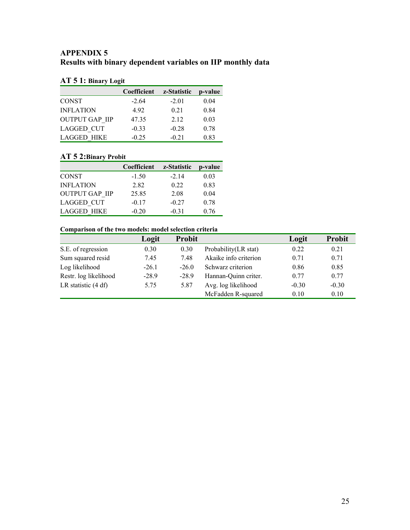# **APPENDIX 5 Results with binary dependent variables on IIP monthly data**

# **AT 5 1: Binary Logit**

|                       | Coefficient | z-Statistic | p-value |
|-----------------------|-------------|-------------|---------|
| <b>CONST</b>          | $-2.64$     | $-2.01$     | 0.04    |
| <b>INFLATION</b>      | 4.92        | 0.21        | 0.84    |
| <b>OUTPUT GAP IIP</b> | 47.35       | 2.12        | 0.03    |
| <b>LAGGED CUT</b>     | $-0.33$     | $-0.28$     | 0.78    |
| <b>LAGGED HIKE</b>    | $-0.25$     | $-0.21$     | 0.83    |

# **AT 5 2:Binary Probit**

|                       | Coefficient | z-Statistic | p-value |
|-----------------------|-------------|-------------|---------|
| <b>CONST</b>          | $-1.50$     | $-2.14$     | 0.03    |
| <b>INFLATION</b>      | 2.82        | 0.22        | 0.83    |
| <b>OUTPUT GAP IIP</b> | 25.85       | 2.08        | 0.04    |
| <b>LAGGED CUT</b>     | $-0.17$     | $-0.27$     | 0.78    |
| <b>LAGGED HIKE</b>    | $-0.20$     | $-0.31$     | 0.76    |

# **Comparison of the two models: model selection criteria**

| Comparison or the covert models model servench erretm |         |               |                       |         |               |
|-------------------------------------------------------|---------|---------------|-----------------------|---------|---------------|
|                                                       | Logit   | <b>Probit</b> |                       | Logit   | <b>Probit</b> |
| S.E. of regression                                    | 0.30    | 0.30          | Probability (LR stat) | 0.22    | 0.21          |
| Sum squared resid                                     | 7.45    | 7.48          | Akaike info criterion | 0.71    | 0.71          |
| Log likelihood                                        | $-26.1$ | $-26.0$       | Schwarz criterion     | 0.86    | 0.85          |
| Restr. log likelihood                                 | $-28.9$ | $-28.9$       | Hannan-Quinn criter.  | 0.77    | 0.77          |
| LR statistic (4 df)                                   | 5.75    | 5.87          | Avg. log likelihood   | $-0.30$ | $-0.30$       |
|                                                       |         |               | McFadden R-squared    | 0.10    | 0.10          |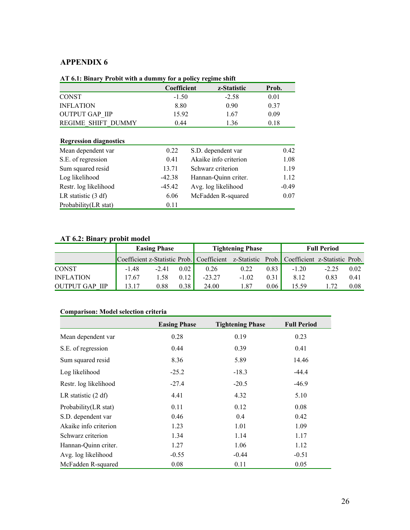# **APPENDIX 6**

| AT 6.1: Binary Probit with a dummy for a policy regime shift |                    |             |
|--------------------------------------------------------------|--------------------|-------------|
|                                                              | <b>Coefficient</b> | z-Statistic |

| The way built y revolt with a gaining for a policy regime since |             |             |       |  |  |  |
|-----------------------------------------------------------------|-------------|-------------|-------|--|--|--|
|                                                                 | Coefficient | z-Statistic | Prob. |  |  |  |
| <b>CONST</b>                                                    | $-1.50$     | $-2.58$     | 0.01  |  |  |  |
| <b>INFLATION</b>                                                | 8.80        | 0.90        | 0.37  |  |  |  |
| <b>OUTPUT GAP IIP</b>                                           | 15.92       | 1.67        | 0.09  |  |  |  |
| <b>REGIME SHIFT DUMMY</b>                                       | 0.44        | 1.36        | 0.18  |  |  |  |

# **Regression diagnostics**

| Mean dependent var    | 0.22     | S.D. dependent var    | 0.42    |
|-----------------------|----------|-----------------------|---------|
| S.E. of regression    | 0.41     | Akaike info criterion | 1.08    |
| Sum squared resid     | 13.71    | Schwarz criterion     | 1.19    |
| Log likelihood        | $-42.38$ | Hannan-Quinn criter.  | 1.12    |
| Restr. log likelihood | $-45.42$ | Avg. log likelihood   | $-0.49$ |
| LR statistic $(3 df)$ | 6.06     | McFadden R-squared    | 0.07    |
| Probability(LR stat)  | 0.11     |                       |         |

# **AT 6.2: Binary probit model**

|                          | <b>Easing Phase</b> |         | <b>Tightening Phase</b> |                                                                                           | <b>Full Period</b> |      |         |         |      |
|--------------------------|---------------------|---------|-------------------------|-------------------------------------------------------------------------------------------|--------------------|------|---------|---------|------|
|                          |                     |         |                         | Coefficient z-Statistic Prob. Coefficient z-Statistic Prob. Coefficient z-Statistic Prob. |                    |      |         |         |      |
| <b>CONST</b>             | -148                | $-2.41$ | 0.02                    | 0.26                                                                                      | 0.22               | 0.83 | $-1.20$ | $-2.25$ | 0.02 |
| <b>INFLATION</b>         | 17.67               | 1.58    | 0.12                    | $-23.27$                                                                                  | $-1.02$            | 0.31 | 8.12    | 0.83    | 0.41 |
| OUTPUT GAP<br><b>IIP</b> | 13 17               | 0.88    | 0.38                    | 24.00                                                                                     | .87                | 0.06 | 15.59   |         | 0.08 |

# **Comparison: Model selection criteria**

|                       | <b>Easing Phase</b> | <b>Tightening Phase</b> | <b>Full Period</b> |
|-----------------------|---------------------|-------------------------|--------------------|
| Mean dependent var    | 0.28                | 0.19                    | 0.23               |
| S.E. of regression    | 0.44                | 0.39                    | 0.41               |
| Sum squared resid     | 8.36                | 5.89                    | 14.46              |
| Log likelihood        | $-25.2$             | $-18.3$                 | $-44.4$            |
| Restr. log likelihood | $-27.4$             | $-20.5$                 | $-46.9$            |
| LR statistic (2 df)   | 4.41                | 4.32                    | 5.10               |
| Probability(LR stat)  | 0.11                | 0.12                    | 0.08               |
| S.D. dependent var    | 0.46                | 0.4                     | 0.42               |
| Akaike info criterion | 1.23                | 1.01                    | 1.09               |
| Schwarz criterion     | 1.34                | 1.14                    | 1.17               |
| Hannan-Quinn criter.  | 1.27                | 1.06                    | 1.12               |
| Avg. log likelihood   | $-0.55$             | $-0.44$                 | $-0.51$            |
| McFadden R-squared    | 0.08                | 0.11                    | 0.05               |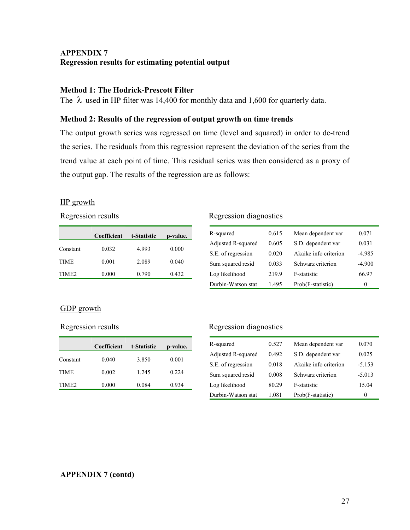# **APPENDIX 7 Regression results for estimating potential output**

# **Method 1: The Hodrick-Prescott Filter**

The  $\lambda$  used in HP filter was 14,400 for monthly data and 1,600 for quarterly data.

# **Method 2: Results of the regression of output growth on time trends**

The output growth series was regressed on time (level and squared) in order to de-trend the series. The residuals from this regression represent the deviation of the series from the trend value at each point of time. This residual series was then considered as a proxy of the output gap. The results of the regression are as follows:

# IIP growth

|                   | Coefficient | t-Statistic | p-value. |
|-------------------|-------------|-------------|----------|
| Constant          | 0.032       | 4.993       | 0.000    |
| <b>TIME</b>       | 0.001       | 2.089       | 0.040    |
| TIME <sub>2</sub> | 0.000       | 0.790       | 0.432    |

## Regression results Regression diagnostics

| R-squared          | 0.615 | Mean dependent var    | 0.071    |
|--------------------|-------|-----------------------|----------|
| Adjusted R-squared | 0.605 | S.D. dependent var    | 0.031    |
| S.E. of regression | 0.020 | Akaike info criterion | $-4.985$ |
| Sum squared resid  | 0.033 | Schwarz criterion     | $-4.900$ |
| Log likelihood     | 219.9 | F-statistic           | 66.97    |
| Durbin-Watson stat | 1 495 | Prob(F-statistic)     | $\theta$ |
|                    |       |                       |          |

# GDP growth

|                   | Coefficient | t-Statistic | p-value. |
|-------------------|-------------|-------------|----------|
| Constant          | 0.040       | 3.850       | 0.001    |
| <b>TIME</b>       | 0.002       | 1.245       | 0.224    |
| TIME <sub>2</sub> | 0.000       | 0.084       | 0.934    |

# Regression results Regression diagnostics

| R-squared          | 0.527 | Mean dependent var    | 0.070    |
|--------------------|-------|-----------------------|----------|
| Adjusted R-squared | 0.492 | S.D. dependent var    | 0.025    |
| S.E. of regression | 0.018 | Akaike info criterion | $-5.153$ |
| Sum squared resid  | 0.008 | Schwarz criterion     | $-5.013$ |
| Log likelihood     | 80.29 | F-statistic           | 15.04    |
| Durbin-Watson stat | 1.081 | Prob(F-statistic)     | 0        |